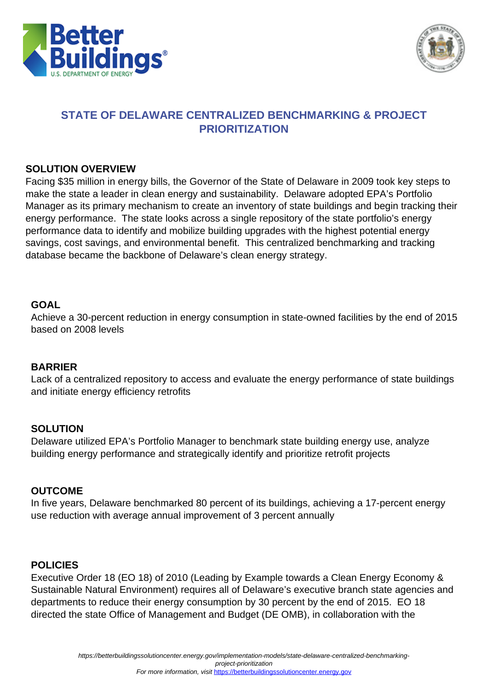



# **STATE OF DELAWARE CENTRALIZED BENCHMARKING & PROJECT PRIORITIZATION**

#### **SOLUTION OVERVIEW**

Facing \$35 million in energy bills, the Governor of the State of Delaware in 2009 took key steps to make the state a leader in clean energy and sustainability. Delaware adopted EPA's Portfolio Manager as its primary mechanism to create an inventory of state buildings and begin tracking their energy performance. The state looks across a single repository of the state portfolio's energy performance data to identify and mobilize building upgrades with the highest potential energy savings, cost savings, and environmental benefit. This centralized benchmarking and tracking database became the backbone of Delaware's clean energy strategy.

#### **GOAL**

Achieve a 30-percent reduction in energy consumption in state-owned facilities by the end of 2015 based on 2008 levels

## **BARRIER**

Lack of a centralized repository to access and evaluate the energy performance of state buildings and initiate energy efficiency retrofits

## **SOLUTION**

Delaware utilized EPA's Portfolio Manager to benchmark state building energy use, analyze building energy performance and strategically identify and prioritize retrofit projects

## **OUTCOME**

In five years, Delaware benchmarked 80 percent of its buildings, achieving a 17-percent energy use reduction with average annual improvement of 3 percent annually

## **POLICIES**

Executive Order 18 (EO 18) of 2010 (Leading by Example towards a Clean Energy Economy & Sustainable Natural Environment) requires all of Delaware's executive branch state agencies and departments to reduce their energy consumption by 30 percent by the end of 2015. EO 18 directed the state Office of Management and Budget (DE OMB), in collaboration with the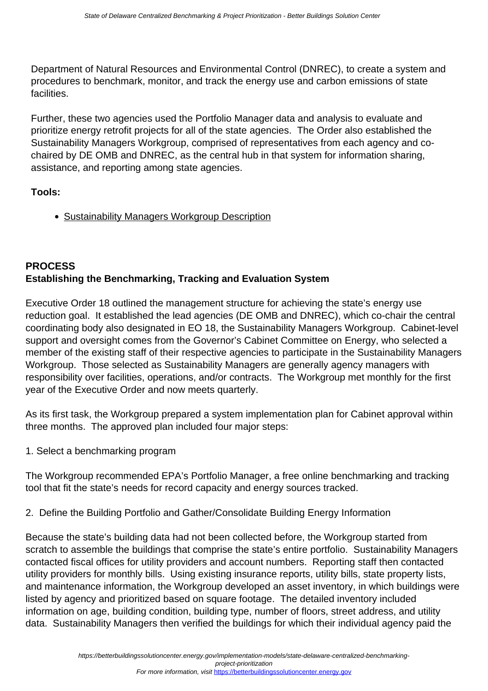Department of Natural Resources and Environmental Control (DNREC), to create a system and procedures to benchmark, monitor, and track the energy use and carbon emissions of state facilities.

Further, these two agencies used the Portfolio Manager data and analysis to evaluate and prioritize energy retrofit projects for all of the state agencies. The Order also established the Sustainability Managers Workgroup, comprised of representatives from each agency and cochaired by DE OMB and DNREC, as the central hub in that system for information sharing, assistance, and reporting among state agencies.

**Tools:**

• [Sustainability Managers Workgroup Description](http://www.dnrec.delaware.gov/energy/Pages/Executive-Order-18.aspx)

# **PROCESS Establishing the Benchmarking, Tracking and Evaluation System**

Executive Order 18 outlined the management structure for achieving the state's energy use reduction goal. It established the lead agencies (DE OMB and DNREC), which co-chair the central coordinating body also designated in EO 18, the Sustainability Managers Workgroup. Cabinet-level support and oversight comes from the Governor's Cabinet Committee on Energy, who selected a member of the existing staff of their respective agencies to participate in the Sustainability Managers Workgroup. Those selected as Sustainability Managers are generally agency managers with responsibility over facilities, operations, and/or contracts. The Workgroup met monthly for the first year of the Executive Order and now meets quarterly.

As its first task, the Workgroup prepared a system implementation plan for Cabinet approval within three months. The approved plan included four major steps:

1. Select a benchmarking program

The Workgroup recommended EPA's Portfolio Manager, a free online benchmarking and tracking tool that fit the state's needs for record capacity and energy sources tracked.

2. Define the Building Portfolio and Gather/Consolidate Building Energy Information

Because the state's building data had not been collected before, the Workgroup started from scratch to assemble the buildings that comprise the state's entire portfolio. Sustainability Managers contacted fiscal offices for utility providers and account numbers. Reporting staff then contacted utility providers for monthly bills. Using existing insurance reports, utility bills, state property lists, and maintenance information, the Workgroup developed an asset inventory, in which buildings were listed by agency and prioritized based on square footage. The detailed inventory included information on age, building condition, building type, number of floors, street address, and utility data. Sustainability Managers then verified the buildings for which their individual agency paid the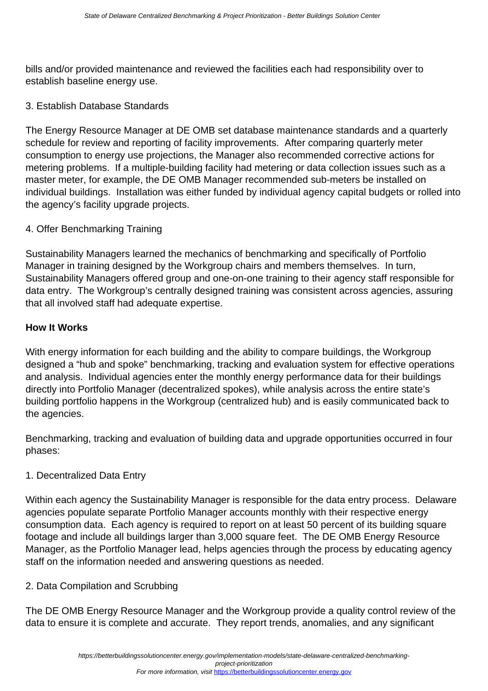bills and/or provided maintenance and reviewed the facilities each had responsibility over to establish baseline energy use.

#### 3. Establish Database Standards

The Energy Resource Manager at DE OMB set database maintenance standards and a quarterly schedule for review and reporting of facility improvements. After comparing quarterly meter consumption to energy use projections, the Manager also recommended corrective actions for metering problems. If a multiple-building facility had metering or data collection issues such as a master meter, for example, the DE OMB Manager recommended sub-meters be installed on individual buildings. Installation was either funded by individual agency capital budgets or rolled into the agency's facility upgrade projects.

## 4. Offer Benchmarking Training

Sustainability Managers learned the mechanics of benchmarking and specifically of Portfolio Manager in training designed by the Workgroup chairs and members themselves. In turn, Sustainability Managers offered group and one-on-one training to their agency staff responsible for data entry. The Workgroup's centrally designed training was consistent across agencies, assuring that all involved staff had adequate expertise.

#### **How It Works**

With energy information for each building and the ability to compare buildings, the Workgroup designed a "hub and spoke" benchmarking, tracking and evaluation system for effective operations and analysis. Individual agencies enter the monthly energy performance data for their buildings directly into Portfolio Manager (decentralized spokes), while analysis across the entire state's building portfolio happens in the Workgroup (centralized hub) and is easily communicated back to the agencies.

Benchmarking, tracking and evaluation of building data and upgrade opportunities occurred in four phases:

## 1. Decentralized Data Entry

Within each agency the Sustainability Manager is responsible for the data entry process. Delaware agencies populate separate Portfolio Manager accounts monthly with their respective energy consumption data. Each agency is required to report on at least 50 percent of its building square footage and include all buildings larger than 3,000 square feet. The DE OMB Energy Resource Manager, as the Portfolio Manager lead, helps agencies through the process by educating agency staff on the information needed and answering questions as needed.

## 2. Data Compilation and Scrubbing

The DE OMB Energy Resource Manager and the Workgroup provide a quality control review of the data to ensure it is complete and accurate. They report trends, anomalies, and any significant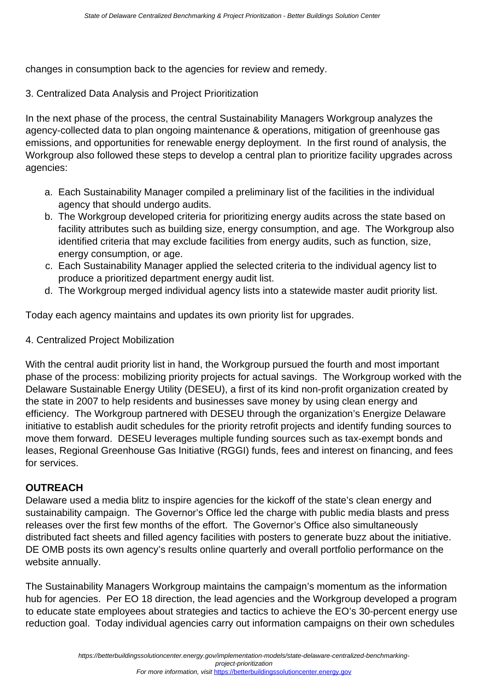changes in consumption back to the agencies for review and remedy.

3. Centralized Data Analysis and Project Prioritization

In the next phase of the process, the central Sustainability Managers Workgroup analyzes the agency-collected data to plan ongoing maintenance & operations, mitigation of greenhouse gas emissions, and opportunities for renewable energy deployment. In the first round of analysis, the Workgroup also followed these steps to develop a central plan to prioritize facility upgrades across agencies:

- a. Each Sustainability Manager compiled a preliminary list of the facilities in the individual agency that should undergo audits.
- b. The Workgroup developed criteria for prioritizing energy audits across the state based on facility attributes such as building size, energy consumption, and age. The Workgroup also identified criteria that may exclude facilities from energy audits, such as function, size, energy consumption, or age.
- c. Each Sustainability Manager applied the selected criteria to the individual agency list to produce a prioritized department energy audit list.
- d. The Workgroup merged individual agency lists into a statewide master audit priority list.

Today each agency maintains and updates its own priority list for upgrades.

4. Centralized Project Mobilization

With the central audit priority list in hand, the Workgroup pursued the fourth and most important phase of the process: mobilizing priority projects for actual savings. The Workgroup worked with the Delaware Sustainable Energy Utility (DESEU), a first of its kind non-profit organization created by the state in 2007 to help residents and businesses save money by using clean energy and efficiency. The Workgroup partnered with DESEU through the organization's Energize Delaware initiative to establish audit schedules for the priority retrofit projects and identify funding sources to move them forward. DESEU leverages multiple funding sources such as tax-exempt bonds and leases, Regional Greenhouse Gas Initiative (RGGI) funds, fees and interest on financing, and fees for services.

## **OUTREACH**

Delaware used a media blitz to inspire agencies for the kickoff of the state's clean energy and sustainability campaign. The Governor's Office led the charge with public media blasts and press releases over the first few months of the effort. The Governor's Office also simultaneously distributed fact sheets and filled agency facilities with posters to generate buzz about the initiative. DE OMB posts its own agency's results online quarterly and overall portfolio performance on the website annually.

The Sustainability Managers Workgroup maintains the campaign's momentum as the information hub for agencies. Per EO 18 direction, the lead agencies and the Workgroup developed a program to educate state employees about strategies and tactics to achieve the EO's 30-percent energy use reduction goal. Today individual agencies carry out information campaigns on their own schedules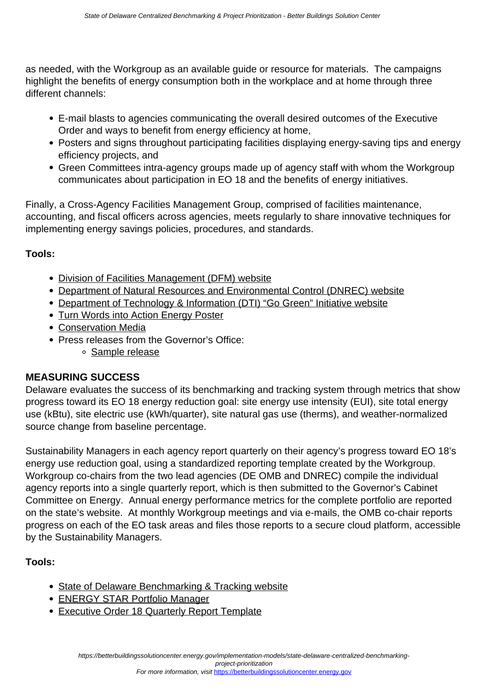as needed, with the Workgroup as an available guide or resource for materials. The campaigns highlight the benefits of energy consumption both in the workplace and at home through three different channels:

- E-mail blasts to agencies communicating the overall desired outcomes of the Executive Order and ways to benefit from energy efficiency at home,
- Posters and signs throughout participating facilities displaying energy-saving tips and energy efficiency projects, and
- Green Committees intra-agency groups made up of agency staff with whom the Workgroup communicates about participation in EO 18 and the benefits of energy initiatives.

Finally, a Cross-Agency Facilities Management Group, comprised of facilities maintenance, accounting, and fiscal officers across agencies, meets regularly to share innovative techniques for implementing energy savings policies, procedures, and standards.

# **Tools:**

- [Division of Facilities Management \(DFM\) website](https://dfm.delaware.gov/)
- [Department of Natural Resources and Environmental Control \(DNREC\) website](http://www.dnrec.delaware.gov/pages/portal.aspx)
- [Department of Technology & Information \(DTI\) "Go Green" Initiative website](https://dti.delaware.gov/pdfs/pp/GreenITPolicy.pdf)
- [Turn Words into Action Energy Poster](https://betterbuildingssolutioncenter.energy.gov/sites/default/files/tools/Turn_Words_into_Action_Energy_Poster_0.pdf)
- [Conservation Media](https://betterbuildingssolutioncenter.energy.gov/sites/default/files/tools/Conservation_Media.pdf)
- Press releases from the Governor's Office:
	- o [Sample release](http://governor.delaware.gov/orders/exec_order_18.shtml)

# **MEASURING SUCCESS**

Delaware evaluates the success of its benchmarking and tracking system through metrics that show progress toward its EO 18 energy reduction goal: site energy use intensity (EUI), site total energy use (kBtu), site electric use (kWh/quarter), site natural gas use (therms), and weather-normalized source change from baseline percentage.

Sustainability Managers in each agency report quarterly on their agency's progress toward EO 18's energy use reduction goal, using a standardized reporting template created by the Workgroup. Workgroup co-chairs from the two lead agencies (DE OMB and DNREC) compile the individual agency reports into a single quarterly report, which is then submitted to the Governor's Cabinet Committee on Energy. Annual energy performance metrics for the complete portfolio are reported on the state's website. At monthly Workgroup meetings and via e-mails, the OMB co-chair reports progress on each of the EO task areas and files those reports to a secure cloud platform, accessible by the Sustainability Managers.

# **Tools:**

- [State of Delaware Benchmarking & Tracking website](http://dfm.delaware.gov/enrgenv/bnchmrk.shtml)
- [ENERGY STAR Portfolio Manager](https://portfoliomanager.energystar.gov/pm/login.html)
- **[Executive Order 18 Quarterly Report Template](https://betterbuildingssolutioncenter.energy.gov/sites/default/files/tools/EO_18_Quarter_Reporting_Blank_Form_0.pdf)**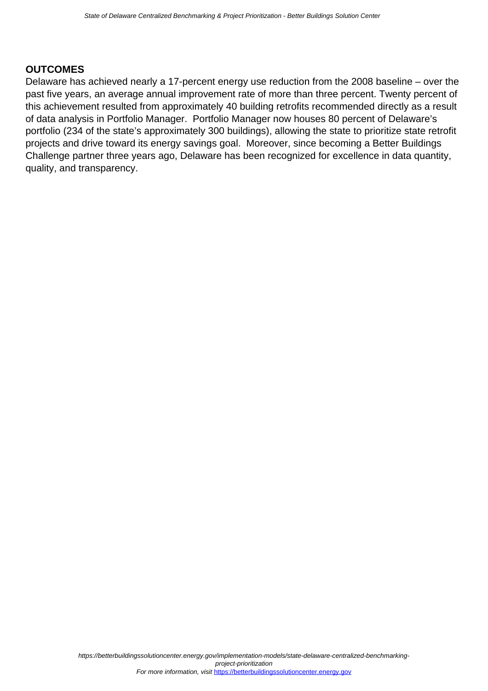## **OUTCOMES**

Delaware has achieved nearly a 17-percent energy use reduction from the 2008 baseline – over the past five years, an average annual improvement rate of more than three percent. Twenty percent of this achievement resulted from approximately 40 building retrofits recommended directly as a result of data analysis in Portfolio Manager. Portfolio Manager now houses 80 percent of Delaware's portfolio (234 of the state's approximately 300 buildings), allowing the state to prioritize state retrofit projects and drive toward its energy savings goal. Moreover, since becoming a Better Buildings Challenge partner three years ago, Delaware has been recognized for excellence in data quantity, quality, and transparency.